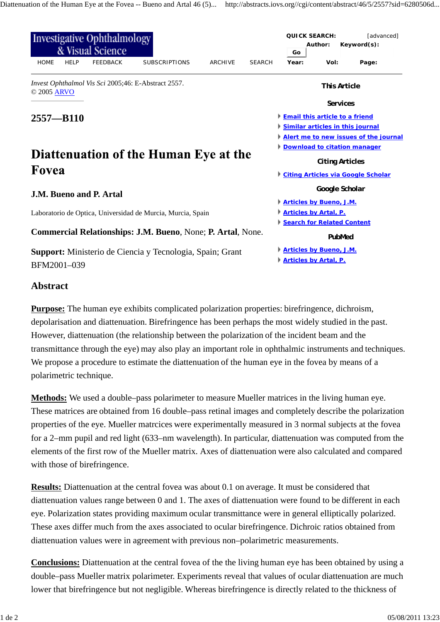| <b>Investigative Ophthalmology</b><br>& Visual Science             |                                                                  |                 |                      |                |               | <i><b>QUICK SEARCH:</b></i><br>Author:<br>Go                        |                 | [advanced]<br>Keyword(s): |  |
|--------------------------------------------------------------------|------------------------------------------------------------------|-----------------|----------------------|----------------|---------------|---------------------------------------------------------------------|-----------------|---------------------------|--|
| <b>HOME</b>                                                        | <b>HELP</b>                                                      | <b>FEEDBACK</b> | <b>SUBSCRIPTIONS</b> | <b>ARCHIVE</b> | <b>SEARCH</b> | Year:                                                               | Vol:            | Page:                     |  |
| Invest Ophthalmol Vis Sci 2005;46: E-Abstract 2557.<br>© 2005 ARVO |                                                                  |                 |                      |                |               | This Article                                                        |                 |                           |  |
|                                                                    |                                                                  |                 |                      |                |               |                                                                     | <b>Services</b> |                           |  |
| $2557 - B110$                                                      |                                                                  |                 |                      |                |               | <b>Email this article to a friend</b>                               |                 |                           |  |
|                                                                    |                                                                  |                 |                      |                |               | Similar articles in this journal                                    |                 |                           |  |
|                                                                    |                                                                  |                 |                      |                |               | <b>Alert me to new issues of the journal</b>                        |                 |                           |  |
|                                                                    |                                                                  |                 |                      |                |               | <b>Download to citation manager</b>                                 |                 |                           |  |
| Diattenuation of the Human Eye at the                              |                                                                  |                 |                      |                |               | <b>Citing Articles</b><br><b>Citing Articles via Google Scholar</b> |                 |                           |  |
| Fovea                                                              |                                                                  |                 |                      |                |               |                                                                     |                 |                           |  |
| <b>J.M. Bueno and P. Artal</b>                                     |                                                                  |                 |                      |                |               | Google Scholar                                                      |                 |                           |  |
|                                                                    |                                                                  |                 |                      |                |               | <b>Articles by Bueno, J.M.</b>                                      |                 |                           |  |
| Laboratorio de Optica, Universidad de Murcia, Murcia, Spain        |                                                                  |                 |                      |                |               | <b>Articles by Artal, P.</b>                                        |                 |                           |  |
|                                                                    |                                                                  |                 |                      |                |               | Search for Related Content                                          |                 |                           |  |
| Commercial Relationships: J.M. Bueno, None; P. Artal, None.        |                                                                  |                 |                      |                |               | PubMed                                                              |                 |                           |  |
|                                                                    | <b>Support:</b> Ministerio de Ciencia y Tecnologia, Spain; Grant |                 |                      |                |               | Articles by Bueno, J.M.                                             |                 |                           |  |
| BFM2001-039                                                        |                                                                  |                 |                      |                |               | <b>Articles by Artal, P.</b>                                        |                 |                           |  |

## **Abstract**

**Purpose:** The human eye exhibits complicated polarization properties: birefringence, dichroism, depolarisation and diattenuation. Birefringence has been perhaps the most widely studied in the past. However, diattenuation (the relationship between the polarization of the incident beam and the transmittance through the eye) may also play an important role in ophthalmic instruments and techniques. We propose a procedure to estimate the diattenuation of the human eye in the fovea by means of a polarimetric technique.

**Methods:** We used a double–pass polarimeter to measure Mueller matrices in the living human eye. These matrices are obtained from 16 double–pass retinal images and completely describe the polarization properties of the eye. Mueller matrcices were experimentally measured in 3 normal subjects at the fovea for a 2–mm pupil and red light (633–nm wavelength). In particular, diattenuation was computed from the elements of the first row of the Mueller matrix. Axes of diattenuation were also calculated and compared with those of birefringence.

**Results:** Diattenuation at the central fovea was about 0.1 on average. It must be considered that diattenuation values range between 0 and 1. The axes of diattenuation were found to be different in each eye. Polarization states providing maximum ocular transmittance were in general elliptically polarized. These axes differ much from the axes associated to ocular birefringence. Dichroic ratios obtained from diattenuation values were in agreement with previous non–polarimetric measurements.

**Conclusions:** Diattenuation at the central fovea of the the living human eye has been obtained by using a double–pass Mueller matrix polarimeter. Experiments reveal that values of ocular diattenuation are much lower that birefringence but not negligible. Whereas birefringence is directly related to the thickness of